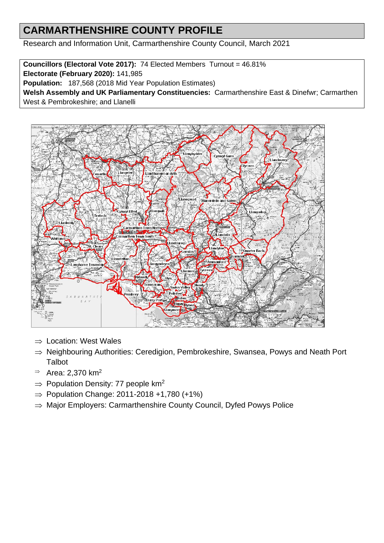# **CARMARTHENSHIRE COUNTY PROFILE**

Research and Information Unit, Carmarthenshire County Council, March 2021

**Councillors (Electoral Vote 2017):** 74 Elected Members Turnout = 46.81%

**Electorate (February 2020):** 141,985

**Population:** 187,568 (2018 Mid Year Population Estimates)

**Welsh Assembly and UK Parliamentary Constituencies:** Carmarthenshire East & Dinefwr; Carmarthen West & Pembrokeshire; and Llanelli



- $\Rightarrow$  Location: West Wales
- $\Rightarrow$  Neighbouring Authorities: Ceredigion, Pembrokeshire, Swansea, Powys and Neath Port **Talbot**
- $\Rightarrow$  Area: 2,370 km<sup>2</sup>
- $\Rightarrow$  Population Density: 77 people km<sup>2</sup>
- $\Rightarrow$  Population Change: 2011-2018 +1,780 (+1%)
- $\Rightarrow$  Major Employers: Carmarthenshire County Council, Dyfed Powys Police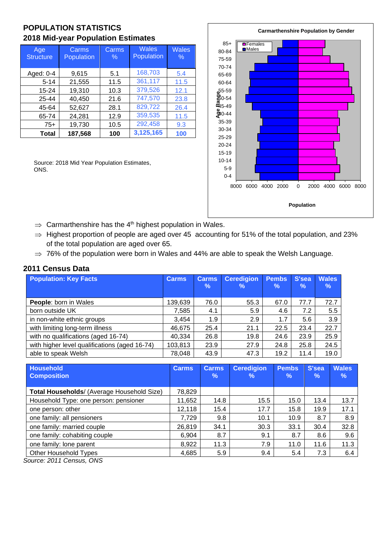## **POPULATION STATISTICS 2018 Mid-year Population Estimates**

| Age<br><b>Structure</b> | Carms<br>Population | Carms<br>$\%$ | <b>Wales</b><br>Population | <b>Wales</b><br>$\%$ |
|-------------------------|---------------------|---------------|----------------------------|----------------------|
| Aged: 0-4               | 9,615               | 5.1           | 168,703                    | 5.4                  |
| $5 - 14$                | 21,555              | 11.5          | 361,117                    | 11.5                 |
| 15-24                   | 19,310              | 10.3          | 379,526                    | 12.1                 |
| 25-44                   | 40,450              | 21.6          | 747,570                    | 23.8                 |
| 45-64                   | 52,627              | 28.1          | 829,722                    | 26.4                 |
| 65-74                   | 24,281              | 12.9          | 359,535                    | 11.5                 |
| $75+$                   | 19,730              | 10.5          | 292,458                    | 9.3                  |
| Total                   | 187,568             | 100           | 3,125,165                  | 100                  |

Source: 2018 Mid Year Population Estimates, ONS.



- $\Rightarrow$  Carmarthenshire has the 4<sup>th</sup> highest population in Wales.
- $\Rightarrow$  Highest proportion of people are aged over 45 accounting for 51% of the total population, and 23% of the total population are aged over 65.
- $\Rightarrow$  76% of the population were born in Wales and 44% are able to speak the Welsh Language.

#### **2011 Census Data**

| <b>Population: Key Facts</b>                  | <b>Carms</b> | <b>Carms</b><br>$\%$ | <b>Ceredigion</b><br>℅ | <b>Pembs</b><br>$\%$ | S'sea<br>$\%$ | <b>Wales</b><br>% |
|-----------------------------------------------|--------------|----------------------|------------------------|----------------------|---------------|-------------------|
| <b>People:</b> born in Wales                  | 139,639      | 76.0                 | 55.3                   | 67.0                 | 77.7          | 72.7              |
| born outside UK                               | 7,585        | 4.1                  | 5.9                    | 4.6                  | 7.2           | 5.5               |
| in non-white ethnic groups                    | 3.454        | 1.9                  | 2.9                    | 1.7                  | 5.6           | 3.9               |
| with limiting long-term illness               | 46,675       | 25.4                 | 21.1                   | 22.5                 | 23.4          | 22.7              |
| with no qualifications (aged 16-74)           | 40,334       | 26.8                 | 19.8                   | 24.6                 | 23.9          | 25.9              |
| with higher level qualifications (aged 16-74) | 103,813      | 23.9                 | 27.9                   | 24.8                 | 25.8          | 24.5              |
| able to speak Welsh                           | 78,048       | 43.9                 | 47.3                   | 19.2                 | 11.4          | 19.0              |

| <b>Household</b><br><b>Composition</b>     | <b>Carms</b> | <b>Carms</b><br>$\%$ | <b>Ceredigion</b><br>% | <b>Pembs</b><br>℅ | S'sea<br>% | <b>Wales</b><br>$\%$ |
|--------------------------------------------|--------------|----------------------|------------------------|-------------------|------------|----------------------|
|                                            |              |                      |                        |                   |            |                      |
| Total Households/ (Average Household Size) | 78,829       |                      |                        |                   |            |                      |
| Household Type: one person: pensioner      | 11,652       | 14.8                 | 15.5                   | 15.0              | 13.4       | 13.7                 |
| one person: other                          | 12,118       | 15.4                 | 17.7                   | 15.8              | 19.9       | 17.1                 |
| one family: all pensioners                 | 7,729        | 9.8                  | 10.1                   | 10.9              | 8.7        | 8.9                  |
| one family: married couple                 | 26.819       | 34.1                 | 30.3                   | 33.1              | 30.4       | 32.8                 |
| one family: cohabiting couple              | 6,904        | 8.7                  | 9.1                    | 8.7               | 8.6        | 9.6                  |
| one family: lone parent                    | 8,922        | 11.3                 | 7.9                    | 11.0              | 11.6       | 11.3                 |
| Other Household Types                      | 4,685        | 5.9                  | 9.4                    | 5.4               | 7.3        | 6.4                  |
|                                            |              |                      |                        |                   |            |                      |

*Source: 2011 Census, ONS*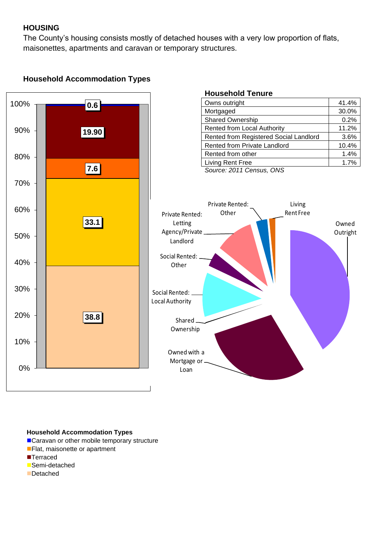### **HOUSING**

The County's housing consists mostly of detached houses with a very low proportion of flats, maisonettes, apartments and caravan or temporary structures.

# **Household Accommodation Types**



#### **Household Accommodation Types**

- ■Caravan or other mobile temporary structure
- Flat, maisonette or apartment
- ■Terraced
- ■Semi-detached
- ■Detached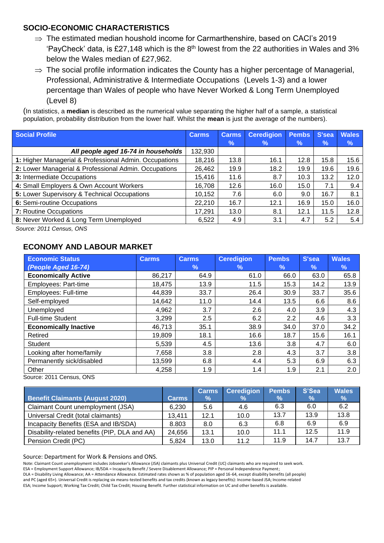#### **SOCIO-ECONOMIC CHARACTERISTICS**

- $\Rightarrow$  The estimated median houshold income for Carmarthenshire, based on CACI's 2019 'PayCheck' data, is £27,148 which is the  $8<sup>th</sup>$  lowest from the 22 authorities in Wales and 3% below the Wales median of £27,962.
- $\Rightarrow$  The social profile information indicates the County has a higher percentage of Managerial, Professional, Administrative & Intermediate Occupations (Levels 1-3) and a lower percentage than Wales of people who have Never Worked & Long Term Unemployed (Level 8)

(In statistics, a **median** is described as the numerical value separating the higher half of a sample, a statistical population, probability distribution from the lower half. Whilst the **mean** is just the average of the numbers).

| Social Profile                                         | <b>Carms</b> | <b>Carms</b>  | <b>Ceredigion</b> | <b>Pembs</b> | S'sea | <b>Wales</b> |
|--------------------------------------------------------|--------------|---------------|-------------------|--------------|-------|--------------|
|                                                        |              | $\frac{9}{6}$ | $\%$              | $\%$         | %     | %            |
| All people aged 16-74 in households                    | 132,930      |               |                   |              |       |              |
| 1: Higher Managerial & Professional Admin. Occupations | 18,216       | 13.8          | 16.1              | 12.8         | 15.8  | 15.6         |
| 2: Lower Managerial & Professional Admin. Occupations  | 26,462       | 19.9          | 18.2              | 19.9         | 19.6  | 19.6         |
| 3: Intermediate Occupations                            | 15,416       | 11.6          | 8.7               | 10.3         | 13.2  | 12.0         |
| 4: Small Employers & Own Account Workers               | 16,708       | 12.6          | 16.0              | 15.0         | 7.1   | 9.4          |
| 5: Lower Supervisory & Technical Occupations           | 10,152       | 7.6           | 6.0               | 9.0          | 16.7  | 8.1          |
| 6: Semi-routine Occupations                            | 22,210       | 16.7          | 12.1              | 16.9         | 15.0  | 16.0         |
| 7: Routine Occupations                                 | 17,291       | 13.0          | 8.1               | 12.1         | 11.5  | 12.8         |
| 8: Never Worked & Long Term Unemployed                 | 6,522        | 4.9           | 3.1               | 4.7          | 5.2   | 5.4          |

*Source: 2011 Census, ONS*

#### **ECONOMY AND LABOUR MARKET**

| <b>Economic Status</b>       | <b>Carms</b> | <b>Carms</b>  | <b>Ceredigion</b> | <b>Pembs</b> | S'sea         | <b>Wales</b> |
|------------------------------|--------------|---------------|-------------------|--------------|---------------|--------------|
| (People Aged 16-74)          |              | $\frac{9}{6}$ | $\%$              | $\%$         | $\frac{9}{6}$ | $\%$         |
| <b>Economically Active</b>   | 86,217       | 64.9          | 61.0              | 66.0         | 63.0          | 65.8         |
| <b>Employees: Part-time</b>  | 18,475       | 13.9          | 11.5              | 15.3         | 14.2          | 13.9         |
| Employees: Full-time         | 44,839       | 33.7          | 26.4              | 30.9         | 33.7          | 35.6         |
| Self-employed                | 14,642       | 11.0          | 14.4              | 13.5         | 6.6           | 8.6          |
| Unemployed                   | 4,962        | 3.7           | 2.6               | 4.0          | 3.9           | 4.3          |
| <b>Full-time Student</b>     | 3,299        | 2.5           | 6.2               | 2.2          | 4.6           | 3.3          |
| <b>Economically Inactive</b> | 46,713       | 35.1          | 38.9              | 34.0         | 37.0          | 34.2         |
| Retired                      | 19,809       | 18.1          | 16.6              | 18.7         | 15.6          | 16.1         |
| <b>Student</b>               | 5,539        | 4.5           | 13.6              | 3.8          | 4.7           | 6.0          |
| Looking after home/family    | 7,658        | 3.8           | 2.8               | 4.3          | 3.7           | 3.8          |
| Permanently sick/disabled    | 13,599       | 6.8           | 4.4               | 5.3          | 6.9           | 6.3          |
| Other                        | 4,258        | 1.9           | 1.4               | 1.9          | 2.1           | 2.0          |

Source: 2011 Census, ONS

|                                               |              | <b>Carms</b> | <b>Ceredigion</b> | Pembs         | S'Sea         | <b>Wales</b> |
|-----------------------------------------------|--------------|--------------|-------------------|---------------|---------------|--------------|
| <b>Benefit Claimants (August 2020)</b>        | <b>Carms</b> | $\%$         | $\%$              | $\frac{9}{6}$ | $\frac{9}{6}$ | $\%$         |
| Claimant Count unemployment (JSA)             | 6.230        | 5.6          | 4.6               | 6.3           | 6.0           | 6.2          |
| Universal Credit (total claimants)            | 13.411       | 12.1         | 10.0              | 13.7          | 13.9          | 13.8         |
| Incapacity Benefits (ESA and IB/SDA)          | 8.803        | 8.0          | 6.3               | 6.8           | 6.9           | 6.9          |
| Disability-related benefits (PIP, DLA and AA) | 24,656       | 13.1         | 10.0              | 11.1          | 12.5          | 11.9         |
| Pension Credit (PC)                           | 5.824        | 13.0         | 11.2              | 11.9          | 14.7          | 13.7         |

#### Source: Department for Work & Pensions and ONS.

Note: Claimant Count unemployment includes Jobseeker's Allowance (JSA) claimants plus Universal Credit (UC) claimants who are required to seek work.

ESA = Employment Support Allowance; IB/SDA = Incapacity Benefit / Severe Disablement Allowance; PIP = Personal Independence Payment;

DLA = Disability Living Allowance; AA = Attendance Allowance. Estimated rates shown as % of population aged 16-64, except disability benefits (all people) and PC (aged 65+). Universal Credit is replacing six means-tested benefits and tax credits (known as legacy benefits): Income-based JSA; Income-related ESA; Income Support; Working Tax Credit; Child Tax Credit; Housing Benefit. Further statistical information on UC and other benefits is available.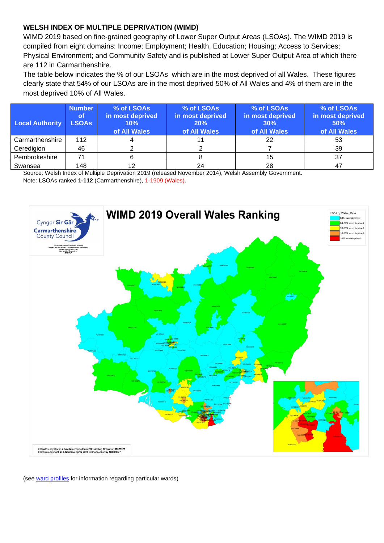#### **WELSH INDEX OF MULTIPLE DEPRIVATION (WIMD)**

WIMD 2019 based on fine-grained geography of Lower Super Output Areas (LSOAs). The WIMD 2019 is compiled from eight domains: Income; Employment; Health, Education; Housing; Access to Services; Physical Environment; and Community Safety and is published at Lower Super Output Area of which there are 112 in Carmarthenshire.

The table below indicates the % of our LSOAs which are in the most deprived of all Wales. These figures clearly state that 54% of our LSOAs are in the most deprived 50% of All Wales and 4% of them are in the most deprived 10% of All Wales.

| <b>Local Authority</b> | <b>Number</b><br>l of/<br><b>LSOAs</b> | % of LSOAs<br>in most deprived<br>10%<br>of All Wales | % of LSOAs<br>in most deprived<br>20%<br>of All Wales | % of LSOAs<br>in most deprived<br>30%<br>of All Wales | % of LSOAs<br>in most deprived<br>50%<br>of All Wales |
|------------------------|----------------------------------------|-------------------------------------------------------|-------------------------------------------------------|-------------------------------------------------------|-------------------------------------------------------|
| Carmarthenshire        | 112                                    |                                                       |                                                       | 22                                                    | 53                                                    |
| Ceredigion             | 46                                     |                                                       |                                                       |                                                       | 39                                                    |
| Pembrokeshire          | 71                                     |                                                       |                                                       | 15                                                    | 37                                                    |
| Swansea                | 148                                    |                                                       | 24                                                    | 28                                                    | 47                                                    |

Source: Welsh Index of Multiple Deprivation 2019 (released November 2014), Welsh Assembly Government. Note: LSOAs ranked **1-112** (Carmarthenshire), 1-1909 (Wales).



(see [ward profiles](https://www.carmarthenshire.gov.wales/home/council-democracy/research-statistics/electoral-ward-county-profiles/#.YFIWMmj7TIU) for information regarding particular wards)